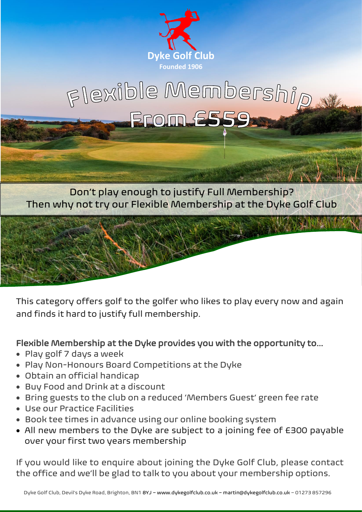

# Flexible Membership FFOM E55

Don't play enough to justify Full Membership? Then why not try our Flexible Membership at the Dyke Golf Club



This category offers golf to the golfer who likes to play every now and again and finds it hard to justify full membership.

### Flexible Membership at the Dyke provides you with the opportunity to…

- Play golf 7 days a week
- Play Non-Honours Board Competitions at the Dyke
- Obtain an official handicap
- Buy Food and Drink at a discount
- Bring guests to the club on a reduced 'Members Guest' green fee rate
- Use our Practice Facilities
- Book tee times in advance using our online booking system
- All new members to the Dyke are subject to a joining fee of £300 payable over your first two years membership

If you would like to enquire about joining the Dyke Golf Club, please contact the office and we'll be glad to talk to you about your membership options.